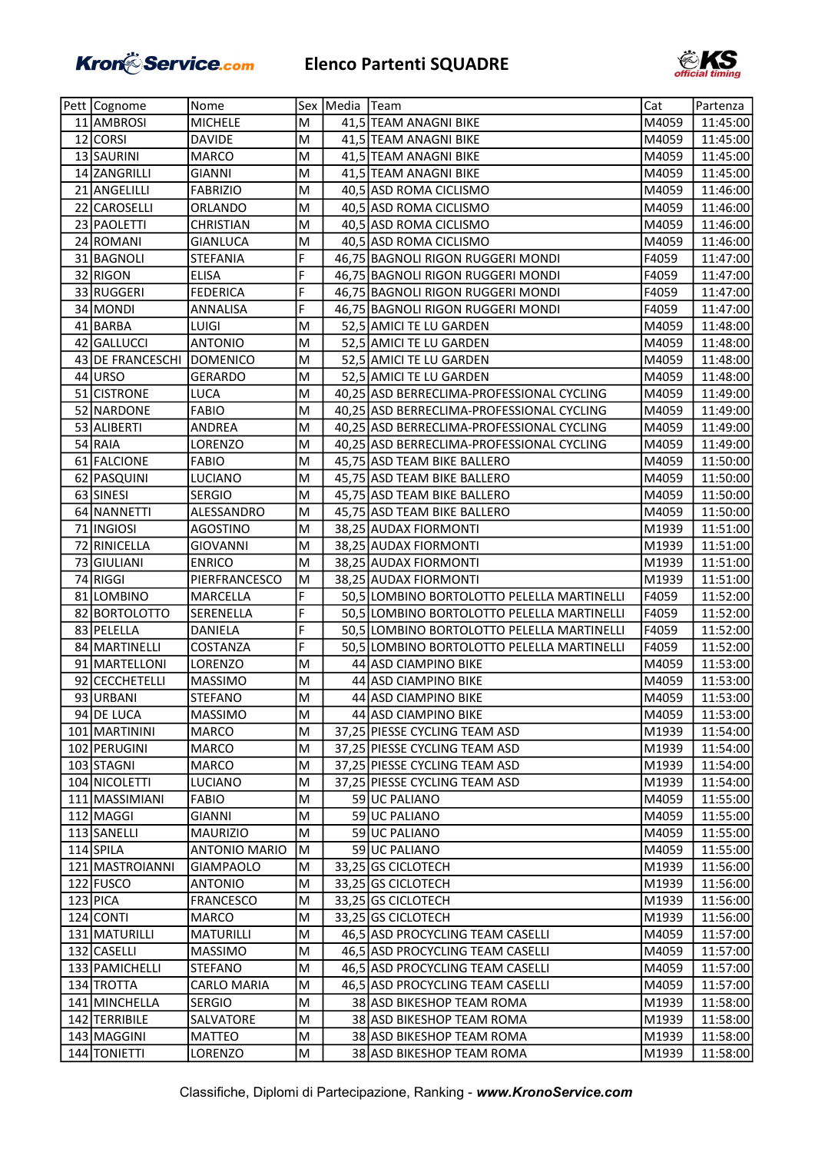## Kron Service.com Elenco Partenti SQUADRE



| Pett   Cognome   | Nome                 |   | Sex   Media   Team |                                            | Cat   | Partenza |
|------------------|----------------------|---|--------------------|--------------------------------------------|-------|----------|
| 11 AMBROSI       | <b>MICHELE</b>       | M |                    | 41,5 TEAM ANAGNI BIKE                      | M4059 | 11:45:00 |
| 12 CORSI         | <b>DAVIDE</b>        | M |                    | 41,5 TEAM ANAGNI BIKE                      | M4059 | 11:45:00 |
| 13 SAURINI       | <b>MARCO</b>         | M |                    | 41,5 TEAM ANAGNI BIKE                      | M4059 | 11:45:00 |
| 14 ZANGRILLI     | GIANNI               | M |                    | 41,5 TEAM ANAGNI BIKE                      | M4059 | 11:45:00 |
| 21 ANGELILLI     | <b>FABRIZIO</b>      | M |                    | 40,5 ASD ROMA CICLISMO                     | M4059 | 11:46:00 |
| 22 CAROSELLI     | ORLANDO              | M |                    | 40,5 ASD ROMA CICLISMO                     | M4059 | 11:46:00 |
| 23 PAOLETTI      | <b>CHRISTIAN</b>     | M |                    | 40,5 ASD ROMA CICLISMO                     | M4059 | 11:46:00 |
| 24 ROMANI        | <b>GIANLUCA</b>      | M |                    | 40,5 ASD ROMA CICLISMO                     | M4059 | 11:46:00 |
| 31 BAGNOLI       | <b>STEFANIA</b>      | F |                    | 46,75 BAGNOLI RIGON RUGGERI MONDI          | F4059 | 11:47:00 |
| 32 RIGON         | <b>ELISA</b>         | F |                    | 46,75 BAGNOLI RIGON RUGGERI MONDI          | F4059 | 11:47:00 |
| 33 RUGGERI       | <b>FEDERICA</b>      | F |                    | 46,75 BAGNOLI RIGON RUGGERI MONDI          | F4059 | 11:47:00 |
| 34 MONDI         | ANNALISA             | F |                    | 46,75 BAGNOLI RIGON RUGGERI MONDI          | F4059 | 11:47:00 |
| 41 BARBA         | LUIGI                | M |                    | 52,5 AMICI TE LU GARDEN                    | M4059 | 11:48:00 |
| 42 GALLUCCI      | <b>ANTONIO</b>       | M |                    | 52,5 AMICI TE LU GARDEN                    | M4059 | 11:48:00 |
| 43 DE FRANCESCHI | <b>DOMENICO</b>      | M |                    | 52,5 AMICI TE LU GARDEN                    | M4059 | 11:48:00 |
| 44 URSO          | <b>GERARDO</b>       | M |                    | 52,5 AMICI TE LU GARDEN                    | M4059 | 11:48:00 |
| 51 CISTRONE      | LUCA                 | M |                    | 40,25 ASD BERRECLIMA-PROFESSIONAL CYCLING  | M4059 | 11:49:00 |
| 52 NARDONE       | <b>FABIO</b>         | M |                    | 40,25 ASD BERRECLIMA-PROFESSIONAL CYCLING  | M4059 | 11:49:00 |
| 53 ALIBERTI      | ANDREA               | M |                    | 40,25 ASD BERRECLIMA-PROFESSIONAL CYCLING  | M4059 | 11:49:00 |
| 54 RAIA          | LORENZO              | M |                    | 40,25 ASD BERRECLIMA-PROFESSIONAL CYCLING  | M4059 | 11:49:00 |
| 61 FALCIONE      | <b>FABIO</b>         | M |                    | 45,75 ASD TEAM BIKE BALLERO                | M4059 | 11:50:00 |
| 62 PASQUINI      | LUCIANO              | M |                    | 45,75 ASD TEAM BIKE BALLERO                | M4059 | 11:50:00 |
| 63 SINESI        | <b>SERGIO</b>        | M |                    | 45,75 ASD TEAM BIKE BALLERO                | M4059 | 11:50:00 |
| 64 NANNETTI      | ALESSANDRO           | M |                    | 45,75 ASD TEAM BIKE BALLERO                | M4059 | 11:50:00 |
| 71 INGIOSI       | AGOSTINO             | M |                    | 38,25 AUDAX FIORMONTI                      | M1939 | 11:51:00 |
| 72 RINICELLA     | GIOVANNI             | M |                    | 38,25 AUDAX FIORMONTI                      | M1939 | 11:51:00 |
| 73 GIULIANI      | <b>ENRICO</b>        | M |                    | 38,25 AUDAX FIORMONTI                      | M1939 | 11:51:00 |
| 74 RIGGI         | PIERFRANCESCO        | M |                    | 38,25 AUDAX FIORMONTI                      | M1939 | 11:51:00 |
| 81 LOMBINO       | MARCELLA             | F |                    | 50,5 LOMBINO BORTOLOTTO PELELLA MARTINELLI | F4059 | 11:52:00 |
| 82 BORTOLOTTO    | SERENELLA            | F |                    | 50,5 LOMBINO BORTOLOTTO PELELLA MARTINELLI | F4059 | 11:52:00 |
| 83 PELELLA       | DANIELA              | F |                    | 50,5 LOMBINO BORTOLOTTO PELELLA MARTINELLI | F4059 | 11:52:00 |
| 84 MARTINELLI    | COSTANZA             | F |                    | 50,5 LOMBINO BORTOLOTTO PELELLA MARTINELLI | F4059 | 11:52:00 |
| 91 MARTELLONI    | LORENZO              | M |                    | 44 ASD CIAMPINO BIKE                       | M4059 | 11:53:00 |
| 92 CECCHETELLI   | <b>MASSIMO</b>       | M |                    | 44 ASD CIAMPINO BIKE                       | M4059 | 11:53:00 |
| 93 URBANI        | <b>STEFANO</b>       | M |                    | 44 ASD CIAMPINO BIKE                       | M4059 | 11:53:00 |
| 94 DE LUCA       | <b>MASSIMO</b>       | M |                    | 44 ASD CIAMPINO BIKE                       | M4059 | 11:53:00 |
| 101 MARTININI    | MARCO                | M |                    | 37,25 PIESSE CYCLING TEAM ASD              | M1939 | 11:54:00 |
| 102 PERUGINI     | MARCO                | M |                    | 37,25 PIESSE CYCLING TEAM ASD              | M1939 | 11:54:00 |
| 103 STAGNI       | MARCO                | M |                    | 37,25 PIESSE CYCLING TEAM ASD              | M1939 | 11:54:00 |
| 104 NICOLETTI    | LUCIANO              | M |                    | 37,25 PIESSE CYCLING TEAM ASD              | M1939 | 11:54:00 |
| 111 MASSIMIANI   | <b>FABIO</b>         | M |                    | 59 UC PALIANO                              | M4059 | 11:55:00 |
| 112 MAGGI        | <b>GIANNI</b>        | M |                    | 59 UC PALIANO                              | M4059 | 11:55:00 |
| 113 SANELLI      | MAURIZIO             | M |                    | 59 UC PALIANO                              | M4059 | 11:55:00 |
| 114 SPILA        | <b>ANTONIO MARIO</b> | M |                    | 59 UC PALIANO                              | M4059 | 11:55:00 |
| 121 MASTROIANNI  | <b>GIAMPAOLO</b>     | M |                    | 33,25 GS CICLOTECH                         | M1939 | 11:56:00 |
| 122 FUSCO        | <b>ANTONIO</b>       | M |                    | 33,25 GS CICLOTECH                         | M1939 | 11:56:00 |
| $123$ PICA       | <b>FRANCESCO</b>     | M |                    | 33,25 GS CICLOTECH                         | M1939 | 11:56:00 |
| 124 CONTI        | MARCO                | M |                    | 33,25 GS CICLOTECH                         | M1939 | 11:56:00 |
| 131 MATURILLI    | <b>MATURILLI</b>     | M |                    | 46,5 ASD PROCYCLING TEAM CASELLI           | M4059 | 11:57:00 |
| 132 CASELLI      | MASSIMO              | M |                    | 46,5 ASD PROCYCLING TEAM CASELLI           | M4059 | 11:57:00 |
| 133 PAMICHELLI   | STEFANO              | M |                    | 46,5 ASD PROCYCLING TEAM CASELLI           | M4059 | 11:57:00 |
| 134 TROTTA       | CARLO MARIA          | M |                    | 46,5 ASD PROCYCLING TEAM CASELLI           | M4059 | 11:57:00 |
| 141 MINCHELLA    | <b>SERGIO</b>        | M |                    | 38 ASD BIKESHOP TEAM ROMA                  | M1939 | 11:58:00 |
| 142 TERRIBILE    | SALVATORE            | M |                    | 38 ASD BIKESHOP TEAM ROMA                  | M1939 | 11:58:00 |
| 143 MAGGINI      | MATTEO               | M |                    | 38 ASD BIKESHOP TEAM ROMA                  | M1939 | 11:58:00 |
| 144 TONIETTI     | LORENZO              | M |                    | 38 ASD BIKESHOP TEAM ROMA                  | M1939 | 11:58:00 |